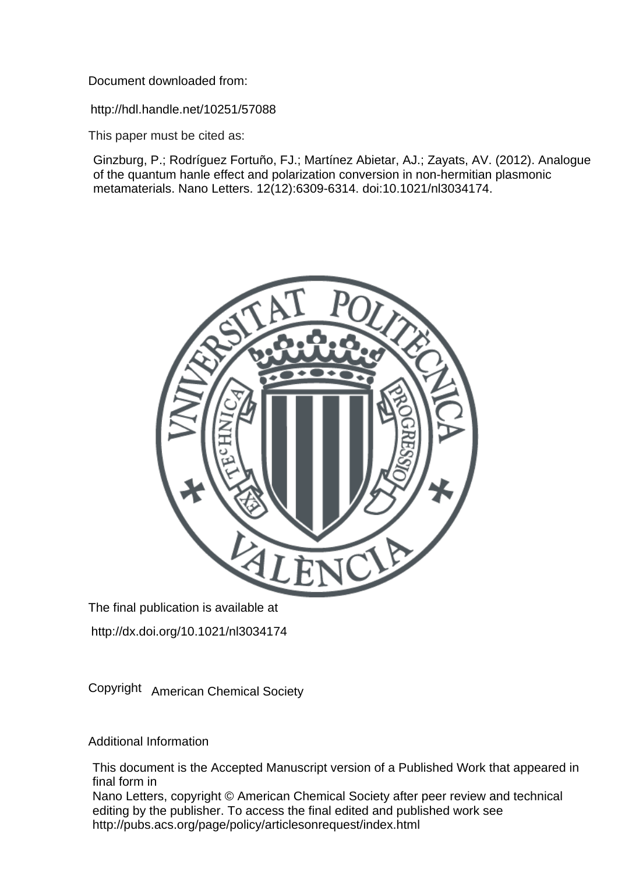Document downloaded from:

http://hdl.handle.net/10251/57088

This paper must be cited as:

Ginzburg, P.; Rodríguez Fortuño, FJ.; Martínez Abietar, AJ.; Zayats, AV. (2012). Analogue of the quantum hanle effect and polarization conversion in non-hermitian plasmonic metamaterials. Nano Letters. 12(12):6309-6314. doi:10.1021/nl3034174.



The final publication is available at

http://dx.doi.org/10.1021/nl3034174

Copyright American Chemical Society

Additional Information

This document is the Accepted Manuscript version of a Published Work that appeared in final form in

Nano Letters, copyright © American Chemical Society after peer review and technical editing by the publisher. To access the final edited and published work see http://pubs.acs.org/page/policy/articlesonrequest/index.html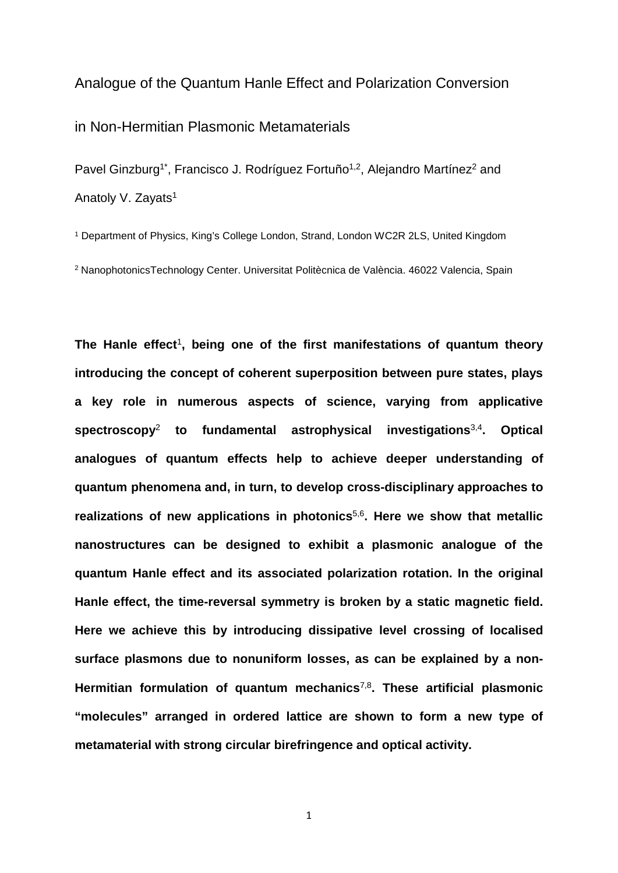## Analogue of the Quantum Hanle Effect and Polarization Conversion

in Non-Hermitian Plasmonic Metamaterials

Pavel Ginzburg<sup>1\*</sup>, Francisco J. Rodríguez Fortuño<sup>1,2</sup>, Alejandro Martínez<sup>2</sup> and Anatoly V. Zayats<sup>1</sup>

<sup>1</sup> Department of Physics, King's College London, Strand, London WC2R 2LS, United Kingdom <sup>2</sup> NanophotonicsTechnology Center. Universitat Politècnica de València. 46022 Valencia, Spain

**The Hanle effect**<sup>1</sup>**, being one of the first manifestations of quantum theory introducing the concept of coherent superposition between pure states, plays a key role in numerous aspects of science, varying from applicative spectroscopy**<sup>2</sup> **to fundamental astrophysical investigations**3,4**. Optical analogues of quantum effects help to achieve deeper understanding of quantum phenomena and, in turn, to develop cross-disciplinary approaches to realizations of new applications in photonics**5,6**. Here we show that metallic nanostructures can be designed to exhibit a plasmonic analogue of the quantum Hanle effect and its associated polarization rotation. In the original Hanle effect, the time-reversal symmetry is broken by a static magnetic field. Here we achieve this by introducing dissipative level crossing of localised surface plasmons due to nonuniform losses, as can be explained by a non-Hermitian formulation of quantum mechanics**7,8**. These artificial plasmonic "molecules" arranged in ordered lattice are shown to form a new type of metamaterial with strong circular birefringence and optical activity.**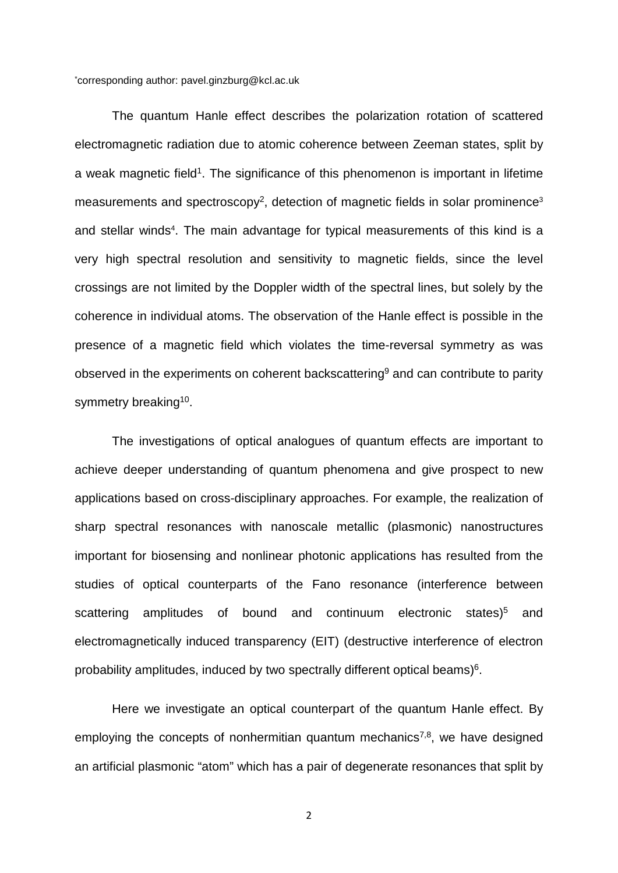\* corresponding author: pavel.ginzburg@kcl.ac.uk

The quantum Hanle effect describes the polarization rotation of scattered electromagnetic radiation due to atomic coherence between Zeeman states, split by a weak magnetic field<sup>1</sup>. The significance of this phenomenon is important in lifetime measurements and spectroscopy<sup>2</sup>, detection of magnetic fields in solar prominence<sup>3</sup> and stellar winds<sup>4</sup>. The main advantage for typical measurements of this kind is a very high spectral resolution and sensitivity to magnetic fields, since the level crossings are not limited by the Doppler width of the spectral lines, but solely by the coherence in individual atoms. The observation of the Hanle effect is possible in the presence of a magnetic field which violates the time-reversal symmetry as was observed in the experiments on coherent backscattering<sup>9</sup> and can contribute to parity symmetry breaking<sup>10</sup>.

The investigations of optical analogues of quantum effects are important to achieve deeper understanding of quantum phenomena and give prospect to new applications based on cross-disciplinary approaches. For example, the realization of sharp spectral resonances with nanoscale metallic (plasmonic) nanostructures important for biosensing and nonlinear photonic applications has resulted from the studies of optical counterparts of the Fano resonance (interference between scattering amplitudes of bound and continuum electronic states)<sup>5</sup> and electromagnetically induced transparency (EIT) (destructive interference of electron probability amplitudes, induced by two spectrally different optical beams)<sup>6</sup>.

Here we investigate an optical counterpart of the quantum Hanle effect. By employing the concepts of nonhermitian quantum mechanics<sup>7,8</sup>, we have designed an artificial plasmonic "atom" which has a pair of degenerate resonances that split by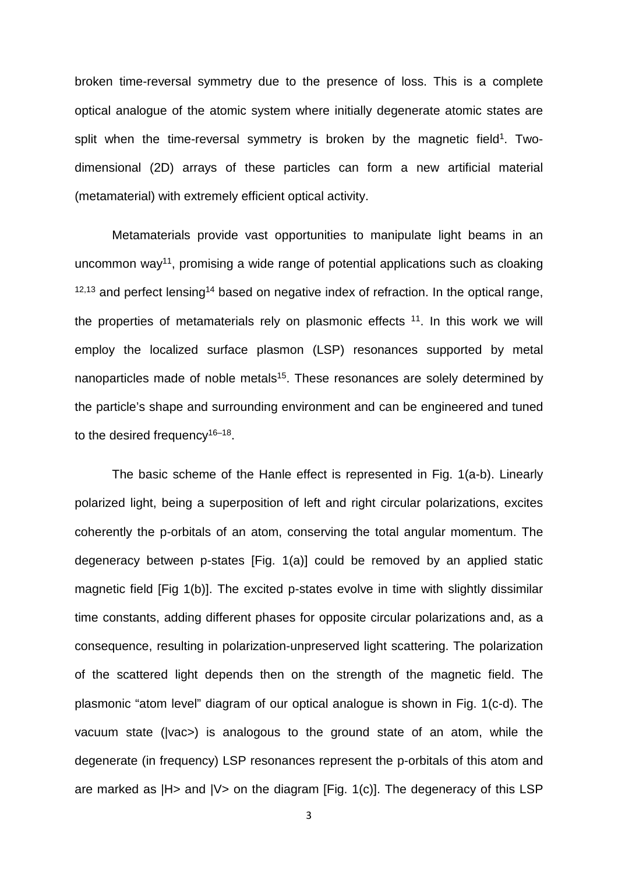broken time-reversal symmetry due to the presence of loss. This is a complete optical analogue of the atomic system where initially degenerate atomic states are split when the time-reversal symmetry is broken by the magnetic field<sup>1</sup>. Twodimensional (2D) arrays of these particles can form a new artificial material (metamaterial) with extremely efficient optical activity.

Metamaterials provide vast opportunities to manipulate light beams in an uncommon way<sup>11</sup>, promising a wide range of potential applications such as cloaking  $12,13$  and perfect lensing<sup>14</sup> based on negative index of refraction. In the optical range, the properties of metamaterials rely on plasmonic effects 11. In this work we will employ the localized surface plasmon (LSP) resonances supported by metal nanoparticles made of noble metals<sup>15</sup>. These resonances are solely determined by the particle's shape and surrounding environment and can be engineered and tuned to the desired frequency<sup>16–18</sup>.

The basic scheme of the Hanle effect is represented in Fig. 1(a-b). Linearly polarized light, being a superposition of left and right circular polarizations, excites coherently the p-orbitals of an atom, conserving the total angular momentum. The degeneracy between p-states [Fig. 1(a)] could be removed by an applied static magnetic field [Fig 1(b)]. The excited p-states evolve in time with slightly dissimilar time constants, adding different phases for opposite circular polarizations and, as a consequence, resulting in polarization-unpreserved light scattering. The polarization of the scattered light depends then on the strength of the magnetic field. The plasmonic "atom level" diagram of our optical analogue is shown in Fig. 1(c-d). The vacuum state (|vac>) is analogous to the ground state of an atom, while the degenerate (in frequency) LSP resonances represent the p-orbitals of this atom and are marked as  $|H$  and  $|V$  on the diagram  $[F]$  ig. 1(c)]. The degeneracy of this LSP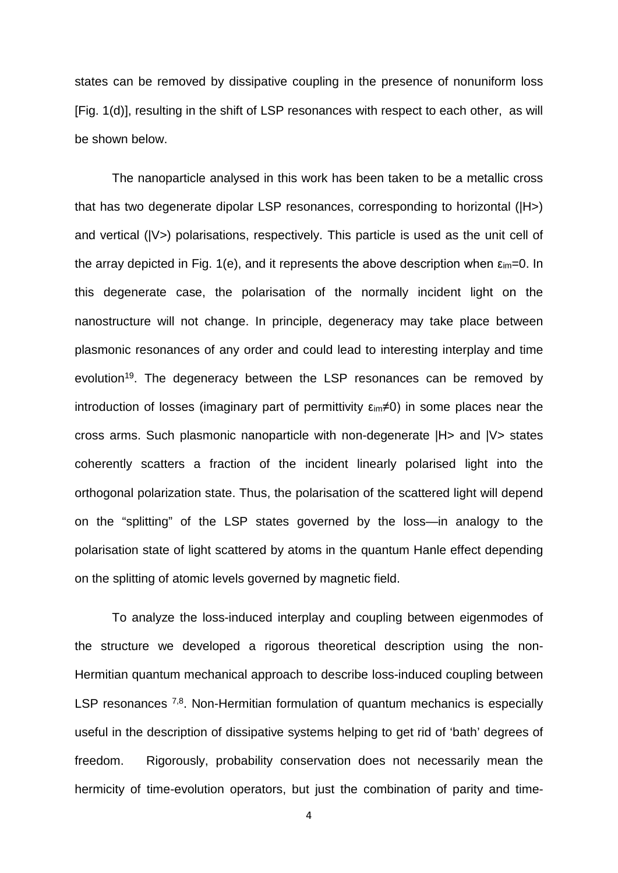states can be removed by dissipative coupling in the presence of nonuniform loss [Fig. 1(d)], resulting in the shift of LSP resonances with respect to each other, as will be shown below.

The nanoparticle analysed in this work has been taken to be a metallic cross that has two degenerate dipolar LSP resonances, corresponding to horizontal (|H>) and vertical (|V>) polarisations, respectively. This particle is used as the unit cell of the array depicted in Fig. 1(e), and it represents the above description when  $\epsilon_{im}=0$ . In this degenerate case, the polarisation of the normally incident light on the nanostructure will not change. In principle, degeneracy may take place between plasmonic resonances of any order and could lead to interesting interplay and time evolution<sup>19</sup>. The degeneracy between the LSP resonances can be removed by introduction of losses (imaginary part of permittivity  $\epsilon_{im} \neq 0$ ) in some places near the cross arms. Such plasmonic nanoparticle with non-degenerate |H> and |V> states coherently scatters a fraction of the incident linearly polarised light into the orthogonal polarization state. Thus, the polarisation of the scattered light will depend on the "splitting" of the LSP states governed by the loss—in analogy to the polarisation state of light scattered by atoms in the quantum Hanle effect depending on the splitting of atomic levels governed by magnetic field.

To analyze the loss-induced interplay and coupling between eigenmodes of the structure we developed a rigorous theoretical description using the non-Hermitian quantum mechanical approach to describe loss-induced coupling between LSP resonances <sup>7,8</sup>. Non-Hermitian formulation of quantum mechanics is especially useful in the description of dissipative systems helping to get rid of 'bath' degrees of freedom. Rigorously, probability conservation does not necessarily mean the hermicity of time-evolution operators, but just the combination of parity and time-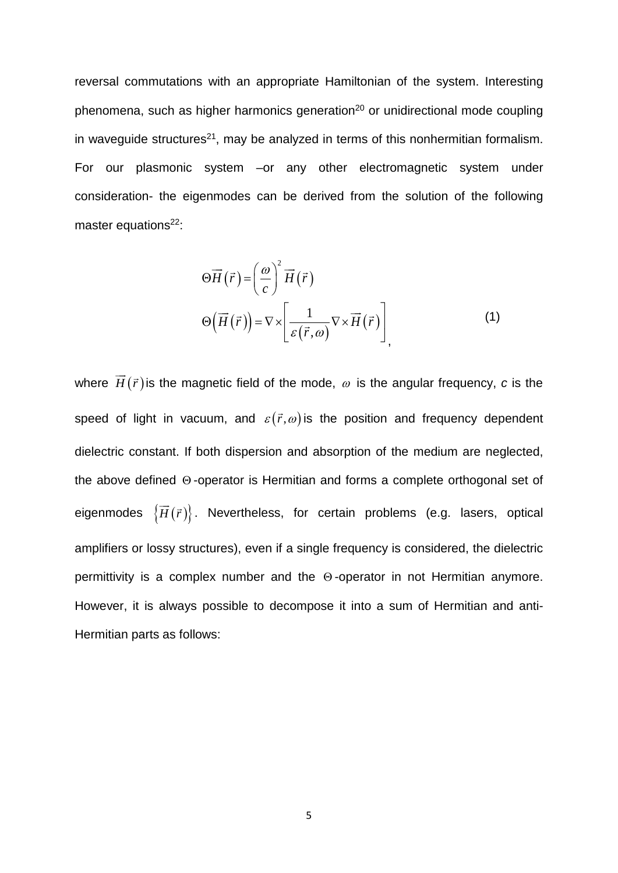reversal commutations with an appropriate Hamiltonian of the system. Interesting phenomena, such as higher harmonics generation<sup>20</sup> or unidirectional mode coupling in waveguide structures<sup>21</sup>, may be analyzed in terms of this nonhermitian formalism. For our plasmonic system –or any other electromagnetic system under consideration- the eigenmodes can be derived from the solution of the following master equations $22$ :

$$
\Theta \overrightarrow{H}(\overrightarrow{r}) = \left(\frac{\omega}{c}\right)^{2} \overrightarrow{H}(\overrightarrow{r})
$$

$$
\Theta \left(\overrightarrow{H}(\overrightarrow{r})\right) = \nabla \times \left[\frac{1}{\varepsilon(\overrightarrow{r}, \omega)} \nabla \times \overrightarrow{H}(\overrightarrow{r})\right]
$$
(1)

where  $\vec{H}(\vec{r})$  is the magnetic field of the mode,  $\omega$  is the angular frequency, c is the speed of light in vacuum, and  $\varepsilon(\vec{r},\omega)$  is the position and frequency dependent dielectric constant. If both dispersion and absorption of the medium are neglected, the above defined Θ -operator is Hermitian and forms a complete orthogonal set of eigenmodes  $\{\overrightarrow{H}(\overrightarrow{r})\}$ . Nevertheless, for certain problems (e.g. lasers, optical amplifiers or lossy structures), even if a single frequency is considered, the dielectric permittivity is a complex number and the Θ -operator in not Hermitian anymore. However, it is always possible to decompose it into a sum of Hermitian and anti-Hermitian parts as follows: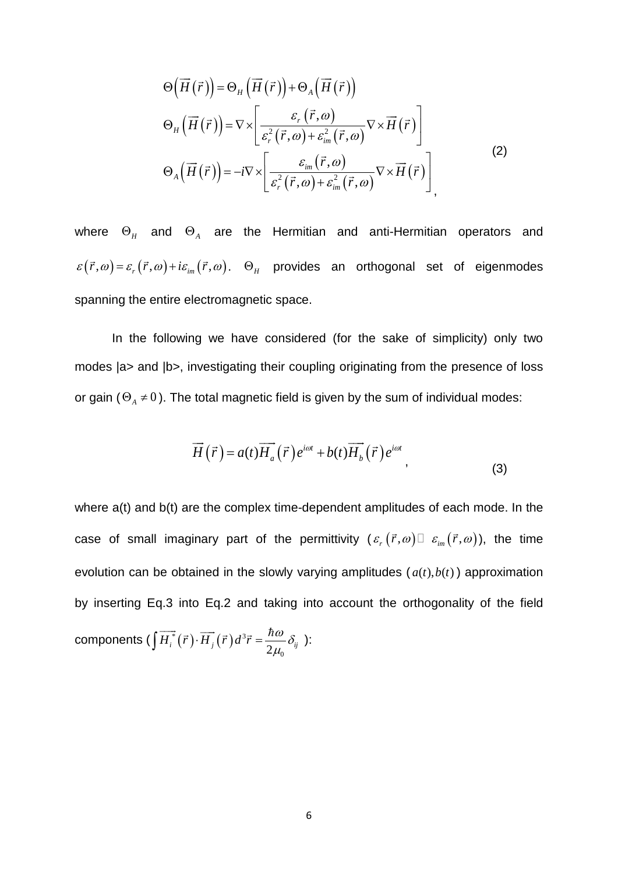$$
\Theta\left(\overrightarrow{H}(\overrightarrow{r})\right) = \Theta_{H}\left(\overrightarrow{H}(\overrightarrow{r})\right) + \Theta_{A}\left(\overrightarrow{H}(\overrightarrow{r})\right)
$$
  
\n
$$
\Theta_{H}\left(\overrightarrow{H}(\overrightarrow{r})\right) = \nabla \times \left[\frac{\varepsilon_{r}(\overrightarrow{r}, \omega)}{\varepsilon_{r}^{2}(\overrightarrow{r}, \omega) + \varepsilon_{im}^{2}(\overrightarrow{r}, \omega)} \nabla \times \overrightarrow{H}(\overrightarrow{r})\right]
$$
  
\n
$$
\Theta_{A}\left(\overrightarrow{H}(\overrightarrow{r})\right) = -i \nabla \times \left[\frac{\varepsilon_{im}(\overrightarrow{r}, \omega)}{\varepsilon_{r}^{2}(\overrightarrow{r}, \omega) + \varepsilon_{im}^{2}(\overrightarrow{r}, \omega)} \nabla \times \overrightarrow{H}(\overrightarrow{r})\right]
$$
\n(2)

where  $\Theta$ <sub>*H*</sub> and  $\Theta$ <sub>A</sub> are the Hermitian and anti-Hermitian operators and  $\varepsilon(\vec{r},\omega) = \varepsilon_r(\vec{r},\omega) + i\varepsilon_{im}(\vec{r},\omega)$ .  $\Theta_H$  provides an orthogonal set of eigenmodes spanning the entire electromagnetic space.

In the following we have considered (for the sake of simplicity) only two modes |a> and |b>, investigating their coupling originating from the presence of loss or gain  $(\Theta_A \neq 0)$ . The total magnetic field is given by the sum of individual modes:

$$
\overrightarrow{H}(\overrightarrow{r}) = a(t)\overrightarrow{H_a}(\overrightarrow{r})e^{i\omega t} + b(t)\overrightarrow{H_b}(\overrightarrow{r})e^{i\omega t}, \qquad (3)
$$

where  $a(t)$  and  $b(t)$  are the complex time-dependent amplitudes of each mode. In the case of small imaginary part of the permittivity  $(\varepsilon_r(\vec{r},\omega) \Box \varepsilon_{\text{im}}(\vec{r},\omega))$ , the time evolution can be obtained in the slowly varying amplitudes  $(a(t), b(t))$  approximation by inserting Eq.3 into Eq.2 and taking into account the orthogonality of the field components (  $\left[H_i^{*}(\vec{r})\cdotp\overline{H}_i(\vec{r})d^3\right]$  $2\mu$ <sub>0</sub>  $\int \overrightarrow{H_{i}}(\vec{r})\cdot\overrightarrow{H_{j}}(\vec{r})d^{3}\vec{r} = \frac{h\omega}{2\mu_{0}}\delta_{ij}$  $\overrightarrow{H_i^*}(\vec{r})\cdot\overrightarrow{H_i}(\vec{r})d^3\vec{r}=\frac{\hbar\omega}{2}\delta_{ii}$ ):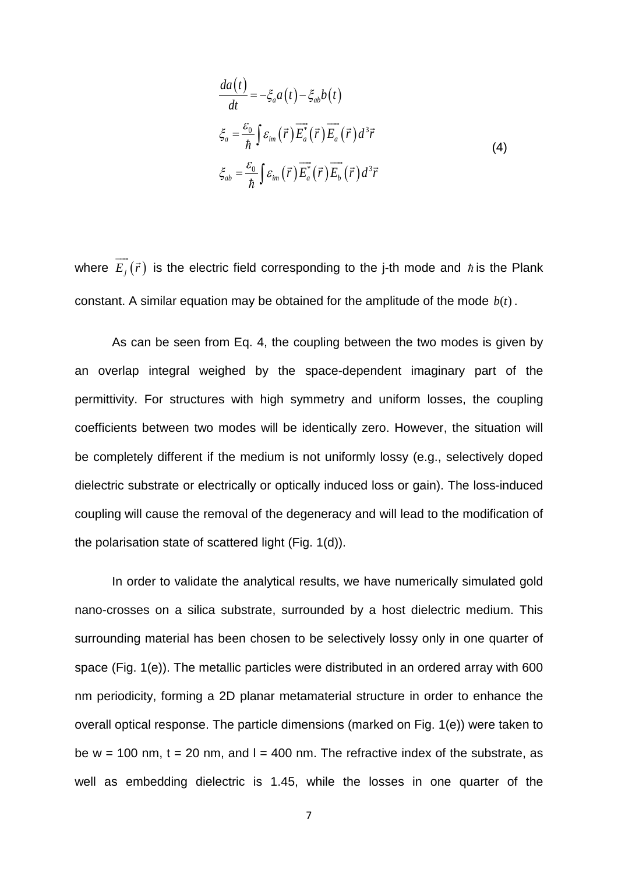$$
\frac{da(t)}{dt} = -\xi_a a(t) - \xi_{ab} b(t)
$$
\n
$$
\xi_a = \frac{\varepsilon_0}{\hbar} \int \varepsilon_{im}(\vec{r}) \overline{E_a^*}(\vec{r}) \overline{E_a}(\vec{r}) d^3 \vec{r}
$$
\n
$$
\xi_{ab} = \frac{\varepsilon_0}{\hbar} \int \varepsilon_{im}(\vec{r}) \overline{E_a^*}(\vec{r}) \overline{E_b}(\vec{r}) d^3 \vec{r}
$$
\n(4)

where  $\overrightarrow{E_i}(\vec{r})$  is the electric field corresponding to the j-th mode and  $\hbar$  is the Plank constant. A similar equation may be obtained for the amplitude of the mode  $b(t)$ .

As can be seen from Eq. 4, the coupling between the two modes is given by an overlap integral weighed by the space-dependent imaginary part of the permittivity. For structures with high symmetry and uniform losses, the coupling coefficients between two modes will be identically zero. However, the situation will be completely different if the medium is not uniformly lossy (e.g., selectively doped dielectric substrate or electrically or optically induced loss or gain). The loss-induced coupling will cause the removal of the degeneracy and will lead to the modification of the polarisation state of scattered light (Fig. 1(d)).

In order to validate the analytical results, we have numerically simulated gold nano-crosses on a silica substrate, surrounded by a host dielectric medium. This surrounding material has been chosen to be selectively lossy only in one quarter of space (Fig. 1(e)). The metallic particles were distributed in an ordered array with 600 nm periodicity, forming a 2D planar metamaterial structure in order to enhance the overall optical response. The particle dimensions (marked on Fig. 1(e)) were taken to be  $w = 100$  nm,  $t = 20$  nm, and  $l = 400$  nm. The refractive index of the substrate, as well as embedding dielectric is 1.45, while the losses in one quarter of the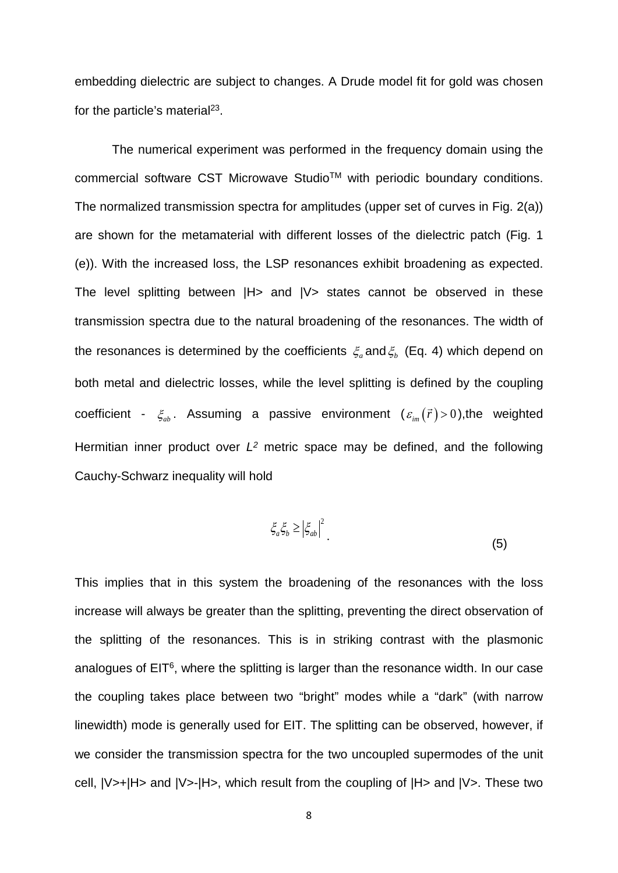embedding dielectric are subject to changes. A Drude model fit for gold was chosen for the particle's material<sup>23</sup>.

The numerical experiment was performed in the frequency domain using the commercial software CST Microwave StudioTM with periodic boundary conditions. The normalized transmission spectra for amplitudes (upper set of curves in Fig. 2(a)) are shown for the metamaterial with different losses of the dielectric patch (Fig. 1 (e)). With the increased loss, the LSP resonances exhibit broadening as expected. The level splitting between  $|H>$  and  $|V>$  states cannot be observed in these transmission spectra due to the natural broadening of the resonances. The width of the resonances is determined by the coefficients  $\xi$ <sub>a</sub> and  $\xi$ <sub>b</sub> (Eq. 4) which depend on both metal and dielectric losses, while the level splitting is defined by the coupling coefficient -  $\xi_{ab}$ . Assuming a passive environment  $(\varepsilon_{im}(\vec{r}) > 0)$ , the weighted Hermitian inner product over *L2* metric space may be defined, and the following Cauchy-Schwarz inequality will hold

$$
\xi_a \xi_b \ge \left| \xi_{ab} \right|^2 \tag{5}
$$

This implies that in this system the broadening of the resonances with the loss increase will always be greater than the splitting, preventing the direct observation of the splitting of the resonances. This is in striking contrast with the plasmonic analogues of EIT<sup>6</sup>, where the splitting is larger than the resonance width. In our case the coupling takes place between two "bright" modes while a "dark" (with narrow linewidth) mode is generally used for EIT. The splitting can be observed, however, if we consider the transmission spectra for the two uncoupled supermodes of the unit cell, |V>+|H> and |V>-|H>, which result from the coupling of |H> and |V>. These two

 $\cdot$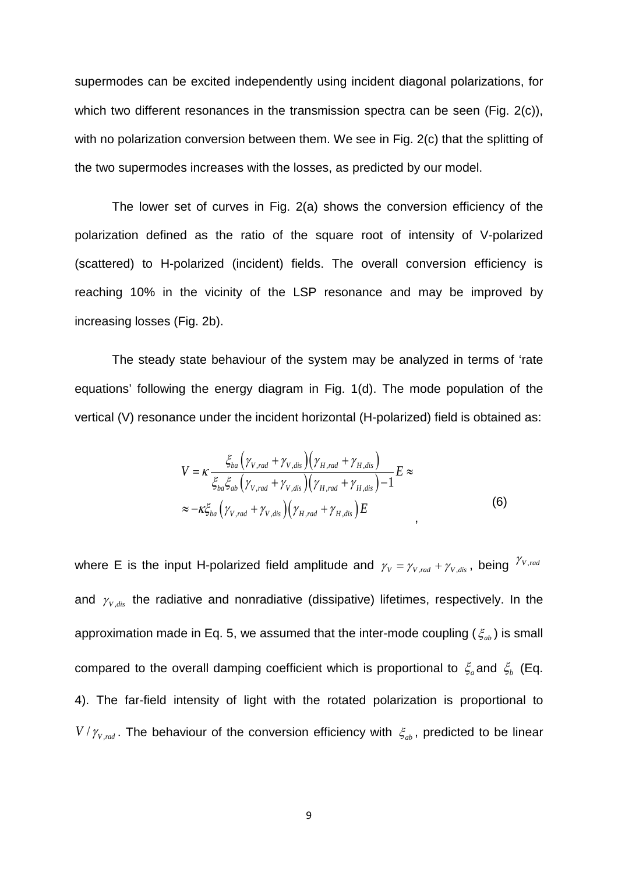supermodes can be excited independently using incident diagonal polarizations, for which two different resonances in the transmission spectra can be seen (Fig. 2(c)), with no polarization conversion between them. We see in Fig. 2(c) that the splitting of the two supermodes increases with the losses, as predicted by our model.

The lower set of curves in Fig. 2(a) shows the conversion efficiency of the polarization defined as the ratio of the square root of intensity of V-polarized (scattered) to H-polarized (incident) fields. The overall conversion efficiency is reaching 10% in the vicinity of the LSP resonance and may be improved by increasing losses (Fig. 2b).

The steady state behaviour of the system may be analyzed in terms of 'rate equations' following the energy diagram in Fig. 1(d). The mode population of the vertical (V) resonance under the incident horizontal (H-polarized) field is obtained as:

$$
V = \kappa \frac{\xi_{ba} \left( \gamma_{V,rad} + \gamma_{V,dis} \right) \left( \gamma_{H,rad} + \gamma_{H,dis} \right)}{\xi_{ba} \xi_{ab} \left( \gamma_{V,rad} + \gamma_{V,dis} \right) \left( \gamma_{H,rad} + \gamma_{H,dis} \right) - 1} E \approx
$$
\n
$$
\approx -\kappa \xi_{ba} \left( \gamma_{V,rad} + \gamma_{V,dis} \right) \left( \gamma_{H,rad} + \gamma_{H,dis} \right) E \tag{6}
$$

where E is the input H-polarized field amplitude and  $\gamma_V = \gamma_{V,rad} + \gamma_{V,dis}$ , being  $\gamma_{V,rad}$ and  $\gamma_{v,dis}$  the radiative and nonradiative (dissipative) lifetimes, respectively. In the approximation made in Eq. 5, we assumed that the inter-mode coupling ( $\xi_{ab}$ ) is small compared to the overall damping coefficient which is proportional to  $\zeta_a$  and  $\zeta_b$  (Eq. 4). The far-field intensity of light with the rotated polarization is proportional to  $V/\gamma_{V,rad}$ . The behaviour of the conversion efficiency with  $\xi_{ab}$ , predicted to be linear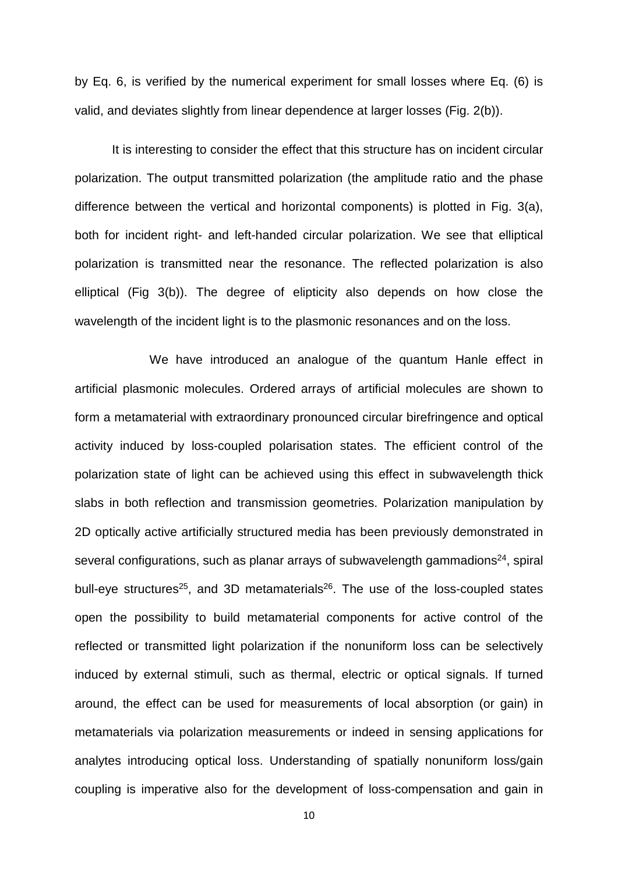by Eq. 6, is verified by the numerical experiment for small losses where Eq. (6) is valid, and deviates slightly from linear dependence at larger losses (Fig. 2(b)).

It is interesting to consider the effect that this structure has on incident circular polarization. The output transmitted polarization (the amplitude ratio and the phase difference between the vertical and horizontal components) is plotted in Fig. 3(a), both for incident right- and left-handed circular polarization. We see that elliptical polarization is transmitted near the resonance. The reflected polarization is also elliptical (Fig 3(b)). The degree of elipticity also depends on how close the wavelength of the incident light is to the plasmonic resonances and on the loss.

We have introduced an analogue of the quantum Hanle effect in artificial plasmonic molecules. Ordered arrays of artificial molecules are shown to form a metamaterial with extraordinary pronounced circular birefringence and optical activity induced by loss-coupled polarisation states. The efficient control of the polarization state of light can be achieved using this effect in subwavelength thick slabs in both reflection and transmission geometries. Polarization manipulation by 2D optically active artificially structured media has been previously demonstrated in several configurations, such as planar arrays of subwavelength gammadions $24$ , spiral bull-eye structures<sup>25</sup>, and 3D metamaterials<sup>26</sup>. The use of the loss-coupled states open the possibility to build metamaterial components for active control of the reflected or transmitted light polarization if the nonuniform loss can be selectively induced by external stimuli, such as thermal, electric or optical signals. If turned around, the effect can be used for measurements of local absorption (or gain) in metamaterials via polarization measurements or indeed in sensing applications for analytes introducing optical loss. Understanding of spatially nonuniform loss/gain coupling is imperative also for the development of loss-compensation and gain in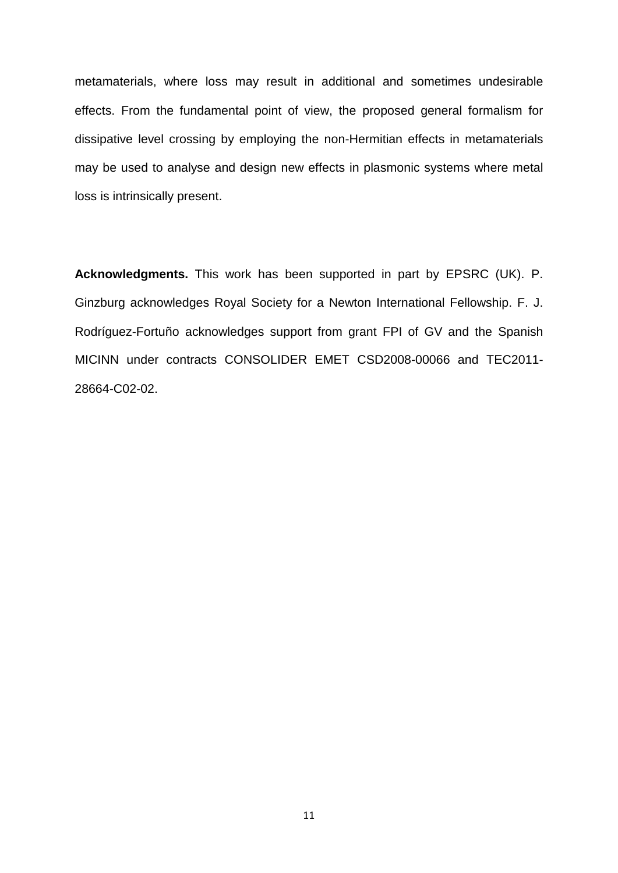metamaterials, where loss may result in additional and sometimes undesirable effects. From the fundamental point of view, the proposed general formalism for dissipative level crossing by employing the non-Hermitian effects in metamaterials may be used to analyse and design new effects in plasmonic systems where metal loss is intrinsically present.

**Acknowledgments.** This work has been supported in part by EPSRC (UK). P. Ginzburg acknowledges Royal Society for a Newton International Fellowship. F. J. Rodríguez-Fortuño acknowledges support from grant FPI of GV and the Spanish MICINN under contracts CONSOLIDER EMET CSD2008-00066 and TEC2011- 28664-C02-02.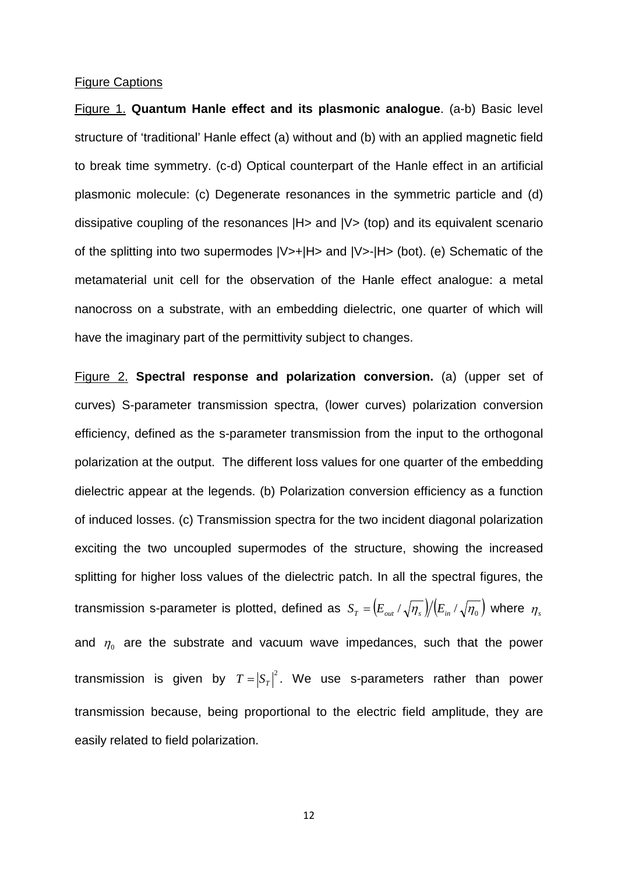## Figure Captions

Figure 1. **Quantum Hanle effect and its plasmonic analogue**. (a-b) Basic level structure of 'traditional' Hanle effect (a) without and (b) with an applied magnetic field to break time symmetry. (c-d) Optical counterpart of the Hanle effect in an artificial plasmonic molecule: (c) Degenerate resonances in the symmetric particle and (d) dissipative coupling of the resonances |H> and |V> (top) and its equivalent scenario of the splitting into two supermodes |V>+|H> and |V>-|H> (bot). (e) Schematic of the metamaterial unit cell for the observation of the Hanle effect analogue: a metal nanocross on a substrate, with an embedding dielectric, one quarter of which will have the imaginary part of the permittivity subject to changes.

Figure 2. **Spectral response and polarization conversion.** (a) (upper set of curves) S-parameter transmission spectra, (lower curves) polarization conversion efficiency, defined as the s-parameter transmission from the input to the orthogonal polarization at the output. The different loss values for one quarter of the embedding dielectric appear at the legends. (b) Polarization conversion efficiency as a function of induced losses. (c) Transmission spectra for the two incident diagonal polarization exciting the two uncoupled supermodes of the structure, showing the increased splitting for higher loss values of the dielectric patch. In all the spectral figures, the transmission s-parameter is plotted, defined as  $S_T = ( E_{out} / \sqrt{n_s} ) / ( E_{in} / \sqrt{n_0} )$  where  $n_s$ and  $\eta_0$  are the substrate and vacuum wave impedances, such that the power transmission is given by  $T = |S_T|^2$ . We use s-parameters rather than power transmission because, being proportional to the electric field amplitude, they are easily related to field polarization.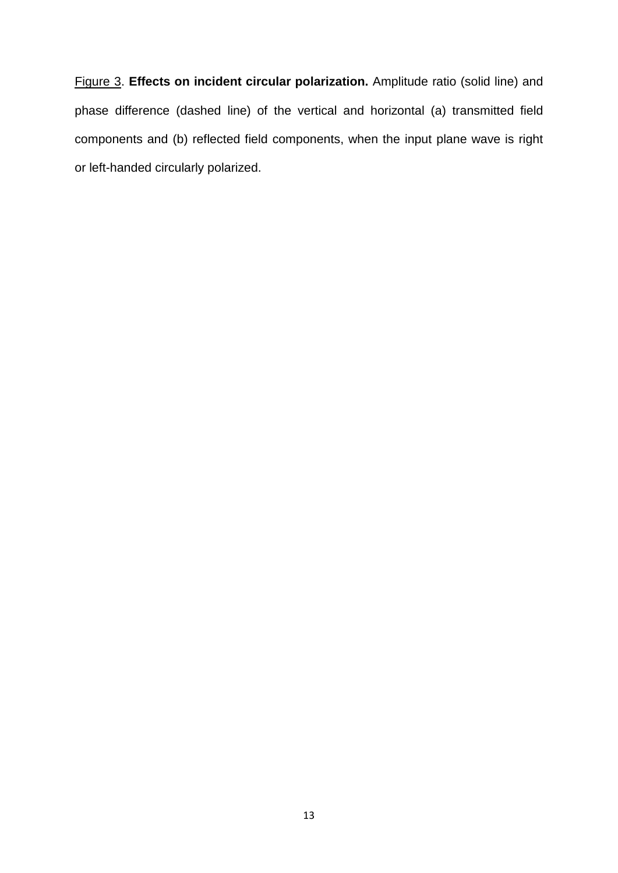Figure 3. **Effects on incident circular polarization.** Amplitude ratio (solid line) and phase difference (dashed line) of the vertical and horizontal (a) transmitted field components and (b) reflected field components, when the input plane wave is right or left-handed circularly polarized.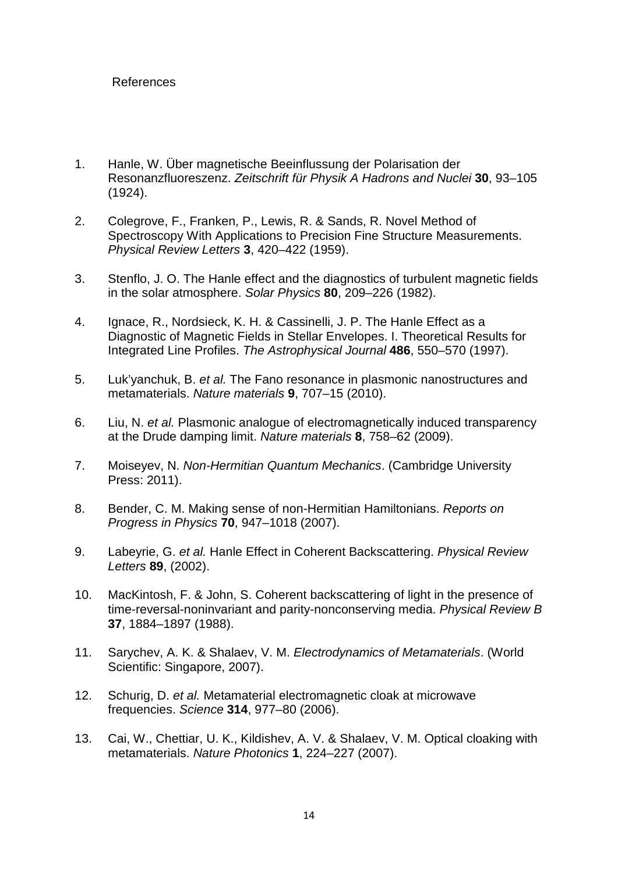## References

- 1. Hanle, W. Über magnetische Beeinflussung der Polarisation der Resonanzfluoreszenz. *Zeitschrift für Physik A Hadrons and Nuclei* **30**, 93–105 (1924).
- 2. Colegrove, F., Franken, P., Lewis, R. & Sands, R. Novel Method of Spectroscopy With Applications to Precision Fine Structure Measurements. *Physical Review Letters* **3**, 420–422 (1959).
- 3. Stenflo, J. O. The Hanle effect and the diagnostics of turbulent magnetic fields in the solar atmosphere. *Solar Physics* **80**, 209–226 (1982).
- 4. Ignace, R., Nordsieck, K. H. & Cassinelli, J. P. The Hanle Effect as a Diagnostic of Magnetic Fields in Stellar Envelopes. I. Theoretical Results for Integrated Line Profiles. *The Astrophysical Journal* **486**, 550–570 (1997).
- 5. Luk'yanchuk, B. *et al.* The Fano resonance in plasmonic nanostructures and metamaterials. *Nature materials* **9**, 707–15 (2010).
- 6. Liu, N. *et al.* Plasmonic analogue of electromagnetically induced transparency at the Drude damping limit. *Nature materials* **8**, 758–62 (2009).
- 7. Moiseyev, N. *Non-Hermitian Quantum Mechanics*. (Cambridge University Press: 2011).
- 8. Bender, C. M. Making sense of non-Hermitian Hamiltonians. *Reports on Progress in Physics* **70**, 947–1018 (2007).
- 9. Labeyrie, G. *et al.* Hanle Effect in Coherent Backscattering. *Physical Review Letters* **89**, (2002).
- 10. MacKintosh, F. & John, S. Coherent backscattering of light in the presence of time-reversal-noninvariant and parity-nonconserving media. *Physical Review B* **37**, 1884–1897 (1988).
- 11. Sarychev, A. K. & Shalaev, V. M. *Electrodynamics of Metamaterials*. (World Scientific: Singapore, 2007).
- 12. Schurig, D. *et al.* Metamaterial electromagnetic cloak at microwave frequencies. *Science* **314**, 977–80 (2006).
- 13. Cai, W., Chettiar, U. K., Kildishev, A. V. & Shalaev, V. M. Optical cloaking with metamaterials. *Nature Photonics* **1**, 224–227 (2007).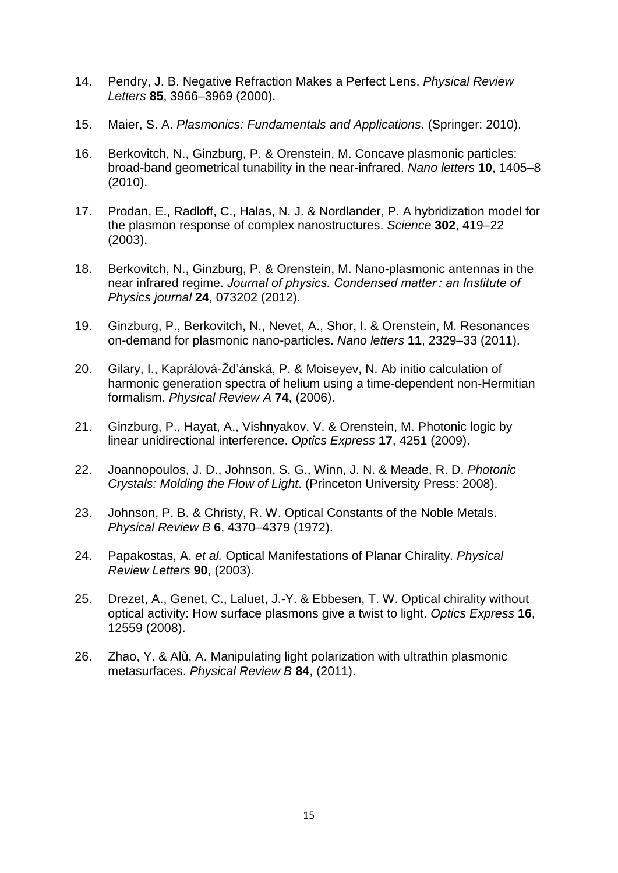- 14. Pendry, J. B. Negative Refraction Makes a Perfect Lens. *Physical Review Letters* **85**, 3966–3969 (2000).
- 15. Maier, S. A. *Plasmonics: Fundamentals and Applications*. (Springer: 2010).
- 16. Berkovitch, N., Ginzburg, P. & Orenstein, M. Concave plasmonic particles: broad-band geometrical tunability in the near-infrared. *Nano letters* **10**, 1405–8 (2010).
- 17. Prodan, E., Radloff, C., Halas, N. J. & Nordlander, P. A hybridization model for the plasmon response of complex nanostructures. *Science* **302**, 419–22 (2003).
- 18. Berkovitch, N., Ginzburg, P. & Orenstein, M. Nano-plasmonic antennas in the near infrared regime. *Journal of physics. Condensed matter : an Institute of Physics journal* **24**, 073202 (2012).
- 19. Ginzburg, P., Berkovitch, N., Nevet, A., Shor, I. & Orenstein, M. Resonances on-demand for plasmonic nano-particles. *Nano letters* **11**, 2329–33 (2011).
- 20. Gilary, I., Kaprálová-Žd'ánská, P. & Moiseyev, N. Ab initio calculation of harmonic generation spectra of helium using a time-dependent non-Hermitian formalism. *Physical Review A* **74**, (2006).
- 21. Ginzburg, P., Hayat, A., Vishnyakov, V. & Orenstein, M. Photonic logic by linear unidirectional interference. *Optics Express* **17**, 4251 (2009).
- 22. Joannopoulos, J. D., Johnson, S. G., Winn, J. N. & Meade, R. D. *Photonic Crystals: Molding the Flow of Light*. (Princeton University Press: 2008).
- 23. Johnson, P. B. & Christy, R. W. Optical Constants of the Noble Metals. *Physical Review B* **6**, 4370–4379 (1972).
- 24. Papakostas, A. *et al.* Optical Manifestations of Planar Chirality. *Physical Review Letters* **90**, (2003).
- 25. Drezet, A., Genet, C., Laluet, J.-Y. & Ebbesen, T. W. Optical chirality without optical activity: How surface plasmons give a twist to light. *Optics Express* **16**, 12559 (2008).
- 26. Zhao, Y. & Alù, A. Manipulating light polarization with ultrathin plasmonic metasurfaces. *Physical Review B* **84**, (2011).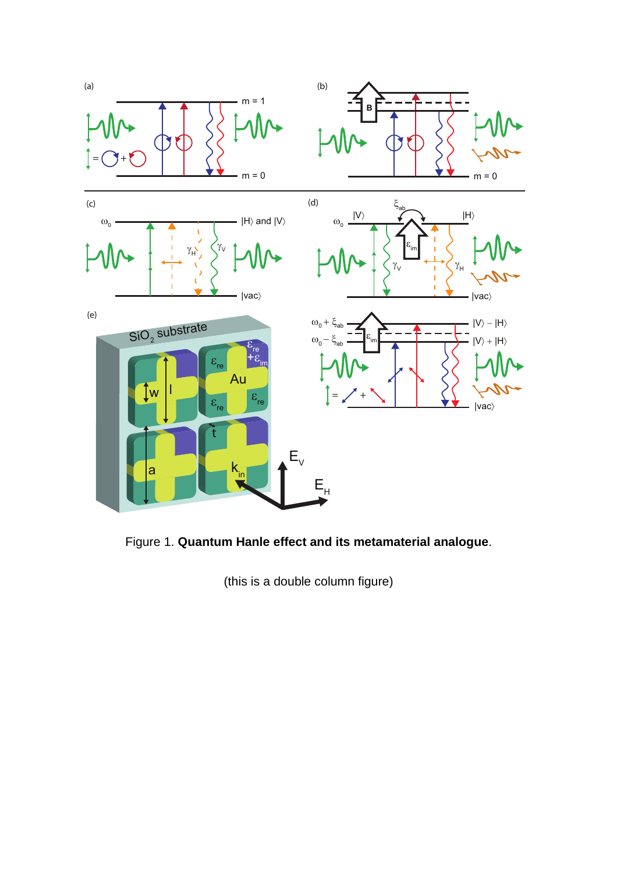

Figure 1. **Quantum Hanle effect and its metamaterial analogue**.

(this is a double column figure)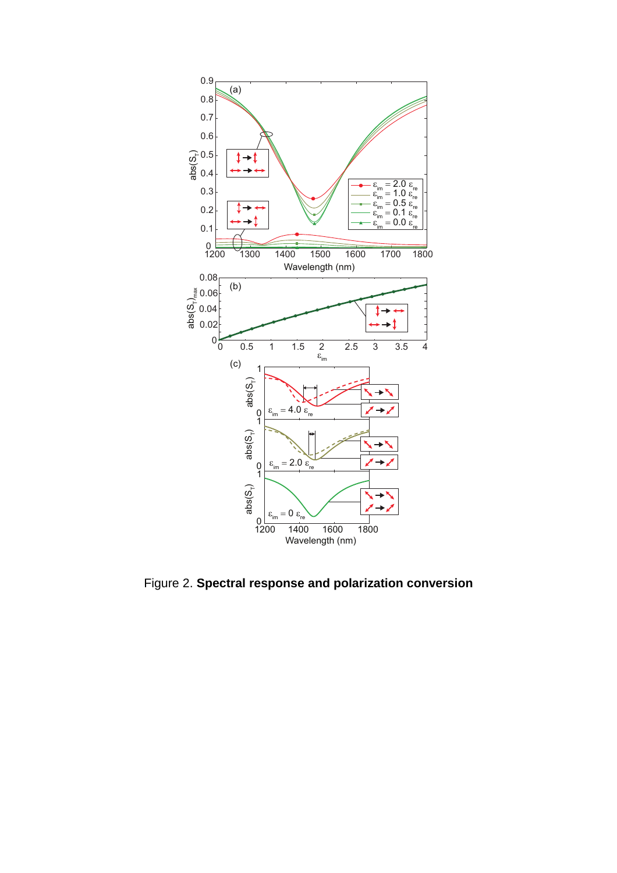

Figure 2. **Spectral response and polarization conversion**